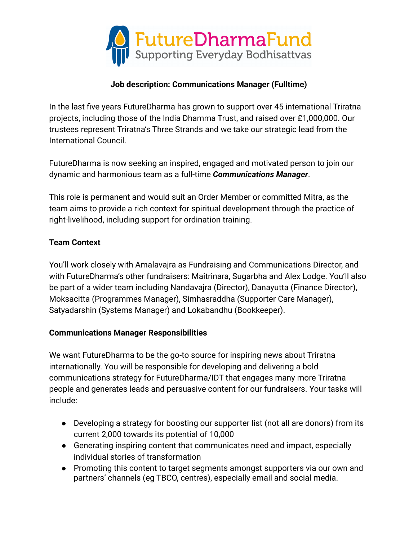

### **Job description: Communications Manager (Fulltime)**

In the last five years FutureDharma has grown to support over 45 international Triratna projects, including those of the India Dhamma Trust, and raised over £1,000,000. Our trustees represent Triratna's Three Strands and we take our strategic lead from the International Council.

FutureDharma is now seeking an inspired, engaged and motivated person to join our dynamic and harmonious team as a full-time *Communications Manager*.

This role is permanent and would suit an Order Member or committed Mitra, as the team aims to provide a rich context for spiritual development through the practice of right-livelihood, including support for ordination training.

### **Team Context**

You'll work closely with Amalavajra as Fundraising and Communications Director, and with FutureDharma's other fundraisers: Maitrinara, Sugarbha and Alex Lodge. You'll also be part of a wider team including Nandavajra (Director), Danayutta (Finance Director), Moksacitta (Programmes Manager), Simhasraddha (Supporter Care Manager), Satyadarshin (Systems Manager) and Lokabandhu (Bookkeeper).

### **Communications Manager Responsibilities**

We want FutureDharma to be the go-to source for inspiring news about Triratna internationally. You will be responsible for developing and delivering a bold communications strategy for FutureDharma/IDT that engages many more Triratna people and generates leads and persuasive content for our fundraisers. Your tasks will include:

- Developing a strategy for boosting our supporter list (not all are donors) from its current 2,000 towards its potential of 10,000
- Generating inspiring content that communicates need and impact, especially individual stories of transformation
- Promoting this content to target segments amongst supporters via our own and partners' channels (eg TBCO, centres), especially email and social media.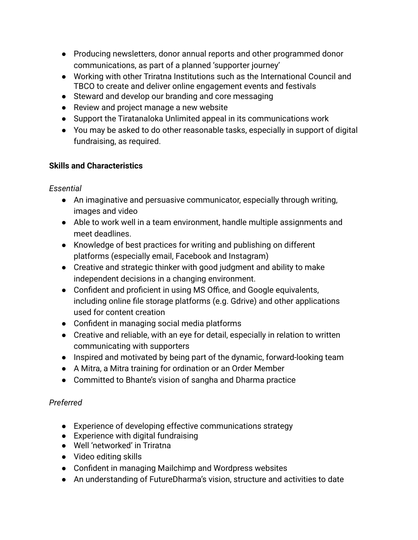- Producing newsletters, donor annual reports and other programmed donor communications, as part of a planned 'supporter journey'
- Working with other Triratna Institutions such as the International Council and TBCO to create and deliver online engagement events and festivals
- Steward and develop our branding and core messaging
- Review and project manage a new website
- Support the Tiratanaloka Unlimited appeal in its communications work
- You may be asked to do other reasonable tasks, especially in support of digital fundraising, as required.

# **Skills and Characteristics**

# *Essential*

- An imaginative and persuasive communicator, especially through writing, images and video
- Able to work well in a team environment, handle multiple assignments and meet deadlines.
- Knowledge of best practices for writing and publishing on different platforms (especially email, Facebook and Instagram)
- Creative and strategic thinker with good judgment and ability to make independent decisions in a changing environment.
- Confident and proficient in using MS Office, and Google equivalents, including online file storage platforms (e.g. Gdrive) and other applications used for content creation
- Confident in managing social media platforms
- Creative and reliable, with an eye for detail, especially in relation to written communicating with supporters
- Inspired and motivated by being part of the dynamic, forward-looking team
- A Mitra, a Mitra training for ordination or an Order Member
- Committed to Bhante's vision of sangha and Dharma practice

# *Preferred*

- Experience of developing effective communications strategy
- Experience with digital fundraising
- Well 'networked' in Triratna
- Video editing skills
- Confident in managing Mailchimp and Wordpress websites
- An understanding of FutureDharma's vision, structure and activities to date